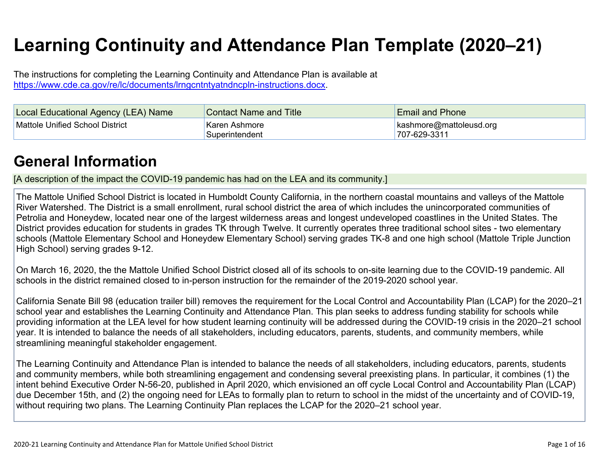# **Learning Continuity and Attendance Plan Template (2020–21)**

The instructions for completing the Learning Continuity and Attendance Plan is available at <https://www.cde.ca.gov/re/lc/documents/lrngcntntyatndncpln-instructions.docx>.

| Local Educational Agency (LEA) Name | <b>Contact Name and Title</b>   | <b>Email and Phone</b>                          |
|-------------------------------------|---------------------------------|-------------------------------------------------|
| Mattole Unified School District     | Karen Ashmore<br>Superintendent | $\vert$ kashmore@mattoleusd.org<br>707-629-3311 |

# **General [Information](http://www.doc-tracking.com/screenshots/20LCP/Instructions/20LCPInstructions.htm#generalinformation)**

[A description of the impact the COVID-19 pandemic has had on the LEA and its community.]

The Mattole Unified School District is located in Humboldt County California, in the northern coastal mountains and valleys of the Mattole River Watershed. The District is a small enrollment, rural school district the area of which includes the unincorporated communities of Petrolia and Honeydew, located near one of the largest wilderness areas and longest undeveloped coastlines in the United States. The District provides education for students in grades TK through Twelve. It currently operates three traditional school sites - two elementary schools (Mattole Elementary School and Honeydew Elementary School) serving grades TK-8 and one high school (Mattole Triple Junction High School) serving grades 9-12.

On March 16, 2020, the the Mattole Unified School District closed all of its schools to on-site learning due to the COVID-19 pandemic. All schools in the district remained closed to in-person instruction for the remainder of the 2019-2020 school year.

California Senate Bill 98 (education trailer bill) removes the requirement for the Local Control and Accountability Plan (LCAP) for the 2020–21 school year and establishes the Learning Continuity and Attendance Plan. This plan seeks to address funding stability for schools while providing information at the LEA level for how student learning continuity will be addressed during the COVID-19 crisis in the 2020–21 school year. It is intended to balance the needs of all stakeholders, including educators, parents, students, and community members, while streamlining meaningful stakeholder engagement.

The Learning Continuity and Attendance Plan is intended to balance the needs of all stakeholders, including educators, parents, students and community members, while both streamlining engagement and condensing several preexisting plans. In particular, it combines (1) the intent behind Executive Order N-56-20, published in April 2020, which envisioned an off cycle Local Control and Accountability Plan (LCAP) due December 15th, and (2) the ongoing need for LEAs to formally plan to return to school in the midst of the uncertainty and of COVID-19, without requiring two plans. The Learning Continuity Plan replaces the LCAP for the 2020–21 school year.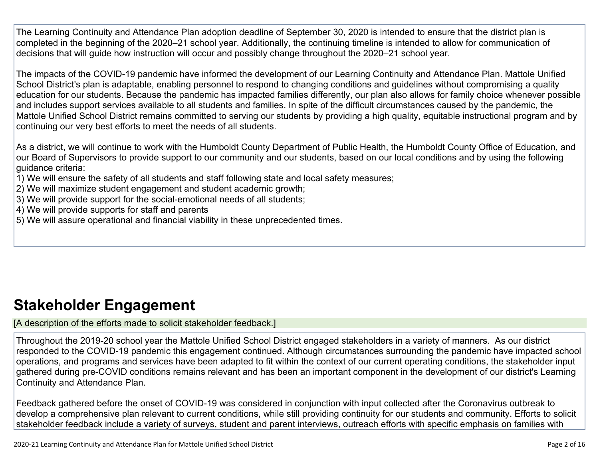The Learning Continuity and Attendance Plan adoption deadline of September 30, 2020 is intended to ensure that the district plan is completed in the beginning of the 2020–21 school year. Additionally, the continuing timeline is intended to allow for communication of decisions that will guide how instruction will occur and possibly change throughout the 2020–21 school year.

The impacts of the COVID-19 pandemic have informed the development of our Learning Continuity and Attendance Plan. Mattole Unified School District's plan is adaptable, enabling personnel to respond to changing conditions and guidelines without compromising a quality education for our students. Because the pandemic has impacted families differently, our plan also allows for family choice whenever possible and includes support services available to all students and families. In spite of the difficult circumstances caused by the pandemic, the Mattole Unified School District remains committed to serving our students by providing a high quality, equitable instructional program and by continuing our very best efforts to meet the needs of all students.

As a district, we will continue to work with the Humboldt County Department of Public Health, the Humboldt County Office of Education, and our Board of Supervisors to provide support to our community and our students, based on our local conditions and by using the following guidance criteria:

- 1) We will ensure the safety of all students and staff following state and local safety measures;
- 2) We will maximize student engagement and student academic growth;
- 3) We will provide support for the social-emotional needs of all students;
- 4) We will provide supports for staff and parents
- 5) We will assure operational and financial viability in these unprecedented times.

# **Stakeholder [Engagement](http://www.doc-tracking.com/screenshots/20LCP/Instructions/20LCPInstructions.htm#stakeholderengagement)**

[A description of the efforts made to solicit stakeholder feedback.]

Throughout the 2019-20 school year the Mattole Unified School District engaged stakeholders in a variety of manners. As our district responded to the COVID-19 pandemic this engagement continued. Although circumstances surrounding the pandemic have impacted school operations, and programs and services have been adapted to fit within the context of our current operating conditions, the stakeholder input gathered during pre-COVID conditions remains relevant and has been an important component in the development of our district's Learning Continuity and Attendance Plan.

Feedback gathered before the onset of COVID-19 was considered in conjunction with input collected after the Coronavirus outbreak to develop a comprehensive plan relevant to current conditions, while still providing continuity for our students and community. Efforts to solicit stakeholder feedback include a variety of surveys, student and parent interviews, outreach efforts with specific emphasis on families with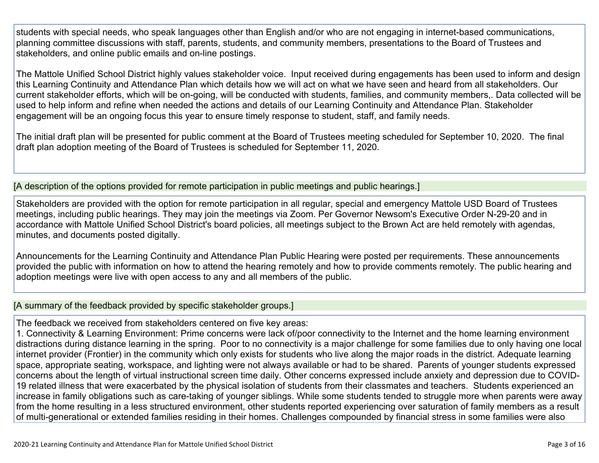students with special needs, who speak languages other than English and/or who are not engaging in internet-based communications, planning committee discussions with staff, parents, students, and community members, presentations to the Board of Trustees and stakeholders, and online public emails and on-line postings.

The Mattole Unified School District highly values stakeholder voice. Input received during engagements has been used to inform and design this Learning Continuity and Attendance Plan which details how we will act on what we have seen and heard from all stakeholders. Our current stakeholder efforts, which will be on-going, will be conducted with students, families, and community members,. Data collected will be used to help inform and refine when needed the actions and details of our Learning Continuity and Attendance Plan. Stakeholder engagement will be an ongoing focus this year to ensure timely response to student, staff, and family needs.

The initial draft plan will be presented for public comment at the Board of Trustees meeting scheduled for September 10, 2020. The final draft plan adoption meeting of the Board of Trustees is scheduled for September 11, 2020.

[A description of the options provided for remote participation in public meetings and public hearings.]

Stakeholders are provided with the option for remote participation in all regular, special and emergency Mattole USD Board of Trustees meetings, including public hearings. They may join the meetings via Zoom. Per Governor Newsom's Executive Order N-29-20 and in accordance with Mattole Unified School District's board policies, all meetings subject to the Brown Act are held remotely with agendas, minutes, and documents posted digitally.

Announcements for the Learning Continuity and Attendance Plan Public Hearing were posted per requirements. These announcements provided the public with information on how to attend the hearing remotely and how to provide comments remotely. The public hearing and adoption meetings were live with open access to any and all members of the public.

[A summary of the feedback provided by specific stakeholder groups.]

The feedback we received from stakeholders centered on five key areas:

1. Connectivity & Learning Environment: Prime concerns were lack of/poor connectivity to the Internet and the home learning environment distractions during distance learning in the spring. Poor to no connectivity is a major challenge for some families due to only having one local internet provider (Frontier) in the community which only exists for students who live along the major roads in the district. Adequate learning space, appropriate seating, workspace, and lighting were not always available or had to be shared. Parents of younger students expressed concerns about the length of virtual instructional screen time daily. Other concerns expressed include anxiety and depression due to COVID-19 related illness that were exacerbated by the physical isolation of students from their classmates and teachers. Students experienced an increase in family obligations such as care-taking of younger siblings. While some students tended to struggle more when parents were away from the home resulting in a less structured environment, other students reported experiencing over saturation of family members as a result of multi-generational or extended families residing in their homes. Challenges compounded by financial stress in some families were also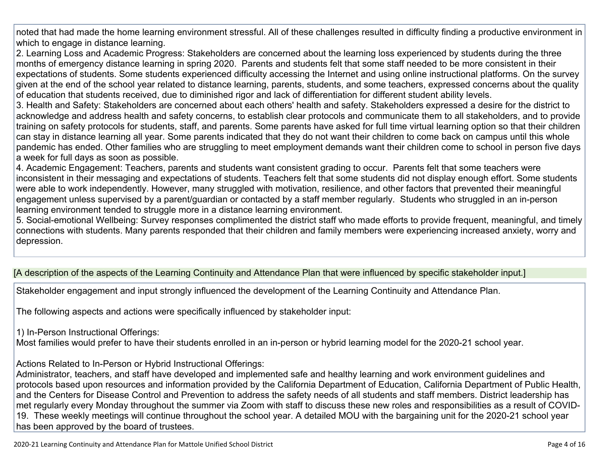noted that had made the home learning environment stressful. All of these challenges resulted in difficulty finding a productive environment in which to engage in distance learning.

2. Learning Loss and Academic Progress: Stakeholders are concerned about the learning loss experienced by students during the three months of emergency distance learning in spring 2020. Parents and students felt that some staff needed to be more consistent in their expectations of students. Some students experienced difficulty accessing the Internet and using online instructional platforms. On the survey given at the end of the school year related to distance learning, parents, students, and some teachers, expressed concerns about the quality of education that students received, due to diminished rigor and lack of differentiation for different student ability levels.

3. Health and Safety: Stakeholders are concerned about each others' health and safety. Stakeholders expressed a desire for the district to acknowledge and address health and safety concerns, to establish clear protocols and communicate them to all stakeholders, and to provide training on safety protocols for students, staff, and parents. Some parents have asked for full time virtual learning option so that their children can stay in distance learning all year. Some parents indicated that they do not want their children to come back on campus until this whole pandemic has ended. Other families who are struggling to meet employment demands want their children come to school in person five days a week for full days as soon as possible.

4. Academic Engagement: Teachers, parents and students want consistent grading to occur. Parents felt that some teachers were inconsistent in their messaging and expectations of students. Teachers felt that some students did not display enough effort. Some students were able to work independently. However, many struggled with motivation, resilience, and other factors that prevented their meaningful engagement unless supervised by a parent/guardian or contacted by a staff member regularly. Students who struggled in an in-person learning environment tended to struggle more in a distance learning environment.

5. Social-emotional Wellbeing: Survey responses complimented the district staff who made efforts to provide frequent, meaningful, and timely connections with students. Many parents responded that their children and family members were experiencing increased anxiety, worry and depression.

### [A description of the aspects of the Learning Continuity and Attendance Plan that were influenced by specific stakeholder input.]

Stakeholder engagement and input strongly influenced the development of the Learning Continuity and Attendance Plan.

The following aspects and actions were specifically influenced by stakeholder input:

1) In-Person Instructional Offerings:

Most families would prefer to have their students enrolled in an in-person or hybrid learning model for the 2020-21 school year.

Actions Related to In-Person or Hybrid Instructional Offerings:

Administrator, teachers, and staff have developed and implemented safe and healthy learning and work environment guidelines and protocols based upon resources and information provided by the California Department of Education, California Department of Public Health, and the Centers for Disease Control and Prevention to address the safety needs of all students and staff members. District leadership has met regularly every Monday throughout the summer via Zoom with staff to discuss these new roles and responsibilities as a result of COVID-19. These weekly meetings will continue throughout the school year. A detailed MOU with the bargaining unit for the 2020-21 school year has been approved by the board of trustees.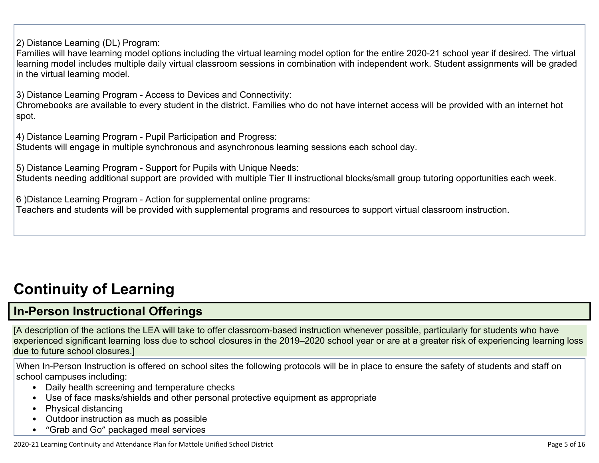2) Distance Learning (DL) Program:

Families will have learning model options including the virtual learning model option for the entire 2020-21 school year if desired. The virtual learning model includes multiple daily virtual classroom sessions in combination with independent work. Student assignments will be graded in the virtual learning model.

3) Distance Learning Program - Access to Devices and Connectivity:

Chromebooks are available to every student in the district. Families who do not have internet access will be provided with an internet hot spot.

4) Distance Learning Program - Pupil Participation and Progress:

Students will engage in multiple synchronous and asynchronous learning sessions each school day.

5) Distance Learning Program - Support for Pupils with Unique Needs:

Students needing additional support are provided with multiple Tier II instructional blocks/small group tutoring opportunities each week.

6 )Distance Learning Program - Action for supplemental online programs:

Teachers and students will be provided with supplemental programs and resources to support virtual classroom instruction.

# **[Continuity](http://www.doc-tracking.com/screenshots/20LCP/Instructions/20LCPInstructions.htm#ContinuityofLearning) of Learnin[g](http://www.doc-tracking.com/screenshots/20LCP/Instructions/20LCPInstructions.htm#ContinuityofLearning)**

## **In-Person [Instructional](http://www.doc-tracking.com/screenshots/20LCP/Instructions/20LCPInstructions.htm#ContinuityofLearning1) Offerings**

[A description of the actions the LEA will take to offer classroom-based instruction whenever possible, particularly for students who have experienced significant learning loss due to school closures in the 2019–2020 school year or are at a greater risk of experiencing learning loss due to future school closures.]

When In-Person Instruction is offered on school sites the following protocols will be in place to ensure the safety of students and staff on school campuses including:

- Daily health screening and temperature checks
- Use of face masks/shields and other personal protective equipment as appropriate
- Physical distancing
- Outdoor instruction as much as possible
- "Grab and Go" packaged meal services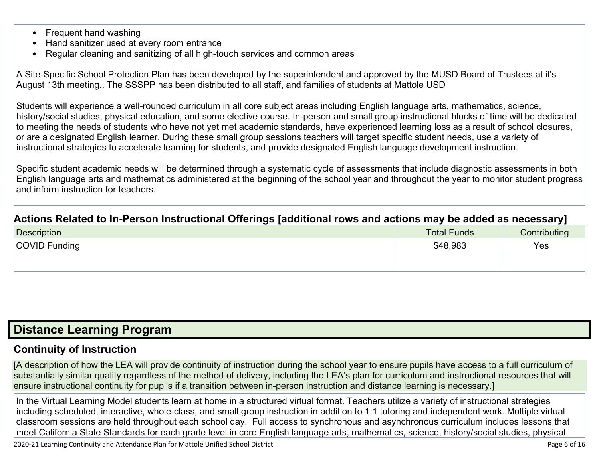- Frequent hand washing
- Hand sanitizer used at every room entrance
- Regular cleaning and sanitizing of all high-touch services and common areas

A Site-Specific School Protection Plan has been developed by the superintendent and approved by the MUSD Board of Trustees at it's August 13th meeting.. The SSSPP has been distributed to all staff, and families of students at Mattole USD

Students will experience a well-rounded curriculum in all core subject areas including English language arts, mathematics, science, history/social studies, physical education, and some elective course. In-person and small group instructional blocks of time will be dedicated to meeting the needs of students who have not yet met academic standards, have experienced learning loss as a result of school closures, or are a designated English learner. During these small group sessions teachers will target specific student needs, use a variety of instructional strategies to accelerate learning for students, and provide designated English language development instruction.

Specific student academic needs will be determined through a systematic cycle of assessments that include diagnostic assessments in both English language arts and mathematics administered at the beginning of the school year and throughout the year to monitor student progress and inform instruction for teachers.

### **Actions Related to In-Person [Instructional](http://www.doc-tracking.com/screenshots/20LCP/Instructions/20LCPInstructions.htm#ContinuityofLearning2) Offerings [additional rows and actions may be added as necessary]**

| <b>Description</b>   | <b>Total Funds</b> | Contributing |
|----------------------|--------------------|--------------|
| <b>COVID Funding</b> | \$48,983           | Yes          |

### **Distance [Learning](http://www.doc-tracking.com/screenshots/20LCP/Instructions/20LCPInstructions.htm#DistanceLearningProgram) Program**

### **Continuity of [Instruction](http://www.doc-tracking.com/screenshots/20LCP/Instructions/20LCPInstructions.htm#DistanceLearningProgram1)**

[A description of how the LEA will provide continuity of instruction during the school year to ensure pupils have access to a full curriculum of substantially similar quality regardless of the method of delivery, including the LEA's plan for curriculum and instructional resources that will ensure instructional continuity for pupils if a transition between in-person instruction and distance learning is necessary.]

In the Virtual Learning Model students learn at home in a structured virtual format. Teachers utilize a variety of instructional strategies including scheduled, interactive, whole-class, and small group instruction in addition to 1:1 tutoring and independent work. Multiple virtual classroom sessions are held throughout each school day. Full access to synchronous and asynchronous curriculum includes lessons that meet California State Standards for each grade level in core English language arts, mathematics, science, history/social studies, physical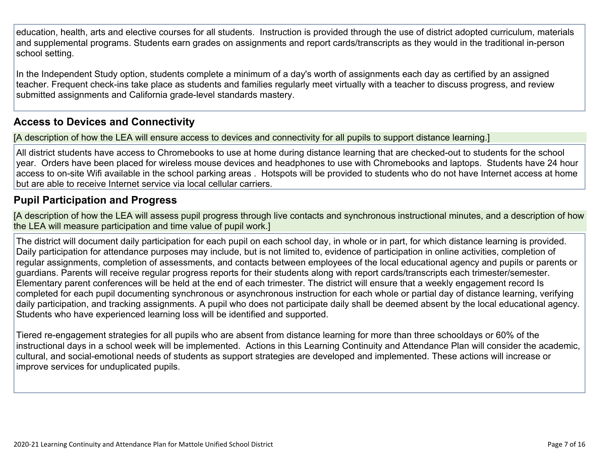education, health, arts and elective courses for all students. Instruction is provided through the use of district adopted curriculum, materials and supplemental programs. Students earn grades on assignments and report cards/transcripts as they would in the traditional in-person school setting.

In the Independent Study option, students complete a minimum of a day's worth of assignments each day as certified by an assigned teacher. Frequent check-ins take place as students and families regularly meet virtually with a teacher to discuss progress, and review submitted assignments and California grade-level standards mastery.

### **Access to Devices and [Connectivity](http://www.doc-tracking.com/screenshots/20LCP/Instructions/20LCPInstructions.htm#DistanceLearningProgram2)**

[A description of how the LEA will ensure access to devices and connectivity for all pupils to support distance learning.]

All district students have access to Chromebooks to use at home during distance learning that are checked-out to students for the school year. Orders have been placed for wireless mouse devices and headphones to use with Chromebooks and laptops. Students have 24 hour access to on-site Wifi available in the school parking areas . Hotspots will be provided to students who do not have Internet access at home but are able to receive Internet service via local cellular carriers.

### **Pupil [Participation](http://www.doc-tracking.com/screenshots/20LCP/Instructions/20LCPInstructions.htm#DistanceLearningProgram3) and Progress**

[A description of how the LEA will assess pupil progress through live contacts and synchronous instructional minutes, and a description of how the LEA will measure participation and time value of pupil work.]

The district will document daily participation for each pupil on each school day, in whole or in part, for which distance learning is provided. Daily participation for attendance purposes may include, but is not limited to, evidence of participation in online activities, completion of regular assignments, completion of assessments, and contacts between employees of the local educational agency and pupils or parents or guardians. Parents will receive regular progress reports for their students along with report cards/transcripts each trimester/semester. Elementary parent conferences will be held at the end of each trimester. The district will ensure that a weekly engagement record Is completed for each pupil documenting synchronous or asynchronous instruction for each whole or partial day of distance learning, verifying daily participation, and tracking assignments. A pupil who does not participate daily shall be deemed absent by the local educational agency. Students who have experienced learning loss will be identified and supported.

Tiered re-engagement strategies for all pupils who are absent from distance learning for more than three schooldays or 60% of the instructional days in a school week will be implemented. Actions in this Learning Continuity and Attendance Plan will consider the academic, cultural, and social-emotional needs of students as support strategies are developed and implemented. These actions will increase or improve services for unduplicated pupils.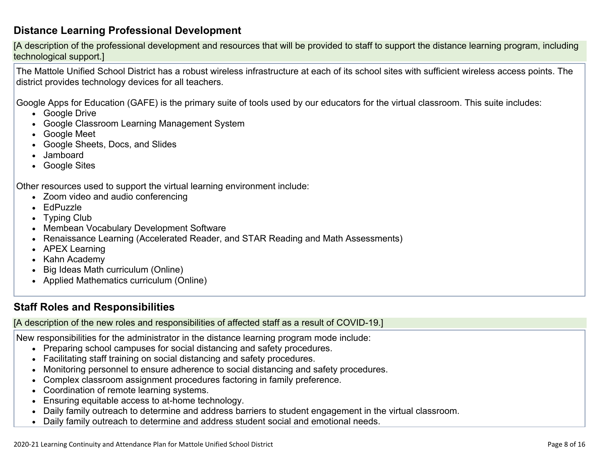### **Distance Learning Professional [Development](http://www.doc-tracking.com/screenshots/20LCP/Instructions/20LCPInstructions.htm#DistanceLearningProgram4)**

[A description of the professional development and resources that will be provided to staff to support the distance learning program, including technological support.]

The Mattole Unified School District has a robust wireless infrastructure at each of its school sites with sufficient wireless access points. The district provides technology devices for all teachers.

Google Apps for Education (GAFE) is the primary suite of tools used by our educators for the virtual classroom. This suite includes:

- Google Drive
- Google Classroom Learning Management System
- Google Meet
- Google Sheets, Docs, and Slides
- Jamboard
- Google Sites

Other resources used to support the virtual learning environment include:

- Zoom video and audio conferencing
- EdPuzzle
- Typing Club
- Membean Vocabulary Development Software
- Renaissance Learning (Accelerated Reader, and STAR Reading and Math Assessments)
- APEX Learning
- Kahn Academy
- Big Ideas Math curriculum (Online)
- Applied Mathematics curriculum (Online)

### **Staff Roles and [Responsibilities](http://www.doc-tracking.com/screenshots/20LCP/Instructions/20LCPInstructions.htm#DistanceLearningProgram5)**

[A description of the new roles and responsibilities of affected staff as a result of COVID-19.]

New responsibilities for the administrator in the distance learning program mode include:

- Preparing school campuses for social distancing and safety procedures.
- Facilitating staff training on social distancing and safety procedures.
- Monitoring personnel to ensure adherence to social distancing and safety procedures.
- Complex classroom assignment procedures factoring in family preference.
- Coordination of remote learning systems.
- Ensuring equitable access to at-home technology.
- Daily family outreach to determine and address barriers to student engagement in the virtual classroom.
- Daily family outreach to determine and address student social and emotional needs.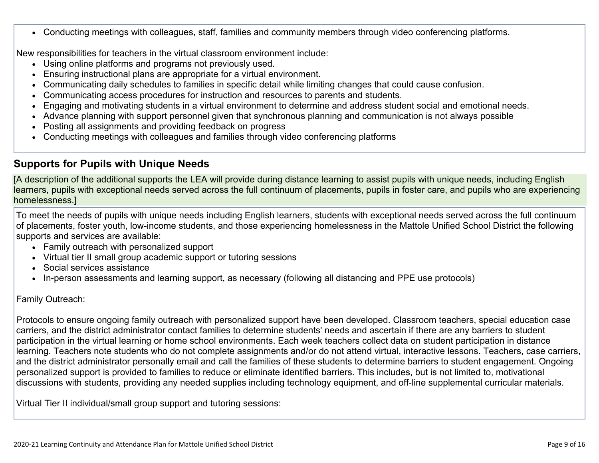Conducting meetings with colleagues, staff, families and community members through video conferencing platforms.

New responsibilities for teachers in the virtual classroom environment include:

- Using online platforms and programs not previously used.
- Ensuring instructional plans are appropriate for a virtual environment.
- Communicating daily schedules to families in specific detail while limiting changes that could cause confusion.
- Communicating access procedures for instruction and resources to parents and students.
- Engaging and motivating students in a virtual environment to determine and address student social and emotional needs.
- Advance planning with support personnel given that synchronous planning and communication is not always possible
- Posting all assignments and providing feedback on progress
- Conducting meetings with colleagues and families through video conferencing platforms

### **[Supports](http://www.doc-tracking.com/screenshots/20LCP/Instructions/20LCPInstructions.htm#DistanceLearningProgram6) for Pupils with Unique Needs**

[A description of the additional supports the LEA will provide during distance learning to assist pupils with unique needs, including English learners, pupils with exceptional needs served across the full continuum of placements, pupils in foster care, and pupils who are experiencing homelessness.]

To meet the needs of pupils with unique needs including English learners, students with exceptional needs served across the full continuum of placements, foster youth, low-income students, and those experiencing homelessness in the Mattole Unified School District the following supports and services are available:

- Family outreach with personalized support
- Virtual tier II small group academic support or tutoring sessions
- Social services assistance
- In-person assessments and learning support, as necessary (following all distancing and PPE use protocols)

Family Outreach:

Protocols to ensure ongoing family outreach with personalized support have been developed. Classroom teachers, special education case carriers, and the district administrator contact families to determine students' needs and ascertain if there are any barriers to student participation in the virtual learning or home school environments. Each week teachers collect data on student participation in distance learning. Teachers note students who do not complete assignments and/or do not attend virtual, interactive lessons. Teachers, case carriers, and the district administrator personally email and call the families of these students to determine barriers to student engagement. Ongoing personalized support is provided to families to reduce or eliminate identified barriers. This includes, but is not limited to, motivational discussions with students, providing any needed supplies including technology equipment, and off-line supplemental curricular materials.

Virtual Tier II individual/small group support and tutoring sessions: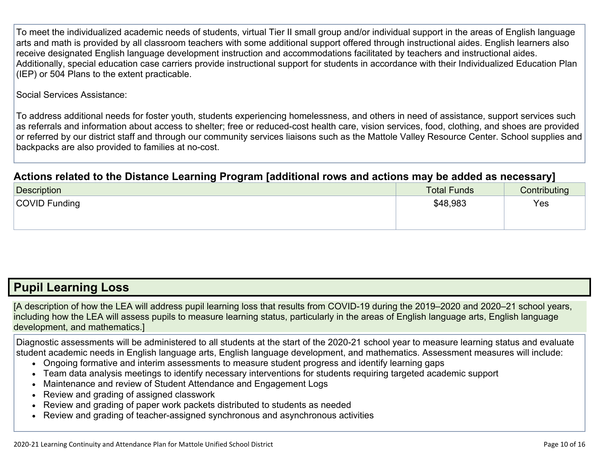To meet the individualized academic needs of students, virtual Tier II small group and/or individual support in the areas of English language arts and math is provided by all classroom teachers with some additional support offered through instructional aides. English learners also receive designated English language development instruction and accommodations facilitated by teachers and instructional aides. Additionally, special education case carriers provide instructional support for students in accordance with their Individualized Education Plan (IEP) or 504 Plans to the extent practicable.

Social Services Assistance:

To address additional needs for foster youth, students experiencing homelessness, and others in need of assistance, support services such as referrals and information about access to shelter; free or reduced-cost health care, vision services, food, clothing, and shoes are provided or referred by our district staff and through our community services liaisons such as the Mattole Valley Resource Center. School supplies and backpacks are also provided to families at no-cost.

### **Actions related to the Distance Learning Program [additional rows and actions may be added as [necessary\]](http://www.doc-tracking.com/screenshots/20LCP/Instructions/20LCPInstructions.htm#DistanceLearningProgram7)**

| Description   | <b>Total Funds</b> | Contributing |
|---------------|--------------------|--------------|
| COVID Funding | \$48,983           | Yes          |
|               |                    |              |

## **Pupil [Learning](http://www.doc-tracking.com/screenshots/20LCP/Instructions/20LCPInstructions.htm#PupilLearningLoss) Loss**

[A description of how the LEA will address pupil learning loss that results from COVID-19 during the 2019–2020 and 2020–21 school years, including how the LEA will assess pupils to measure learning status, particularly in the areas of English language arts, English language development, and mathematics.]

Diagnostic assessments will be administered to all students at the start of the 2020-21 school year to measure learning status and evaluate student academic needs in English language arts, English language development, and mathematics. Assessment measures will include:

- Ongoing formative and interim assessments to measure student progress and identify learning gaps
- Team data analysis meetings to identify necessary interventions for students requiring targeted academic support
- Maintenance and review of Student Attendance and Engagement Logs
- Review and grading of assigned classwork
- Review and grading of paper work packets distributed to students as needed
- Review and grading of teacher-assigned synchronous and asynchronous activities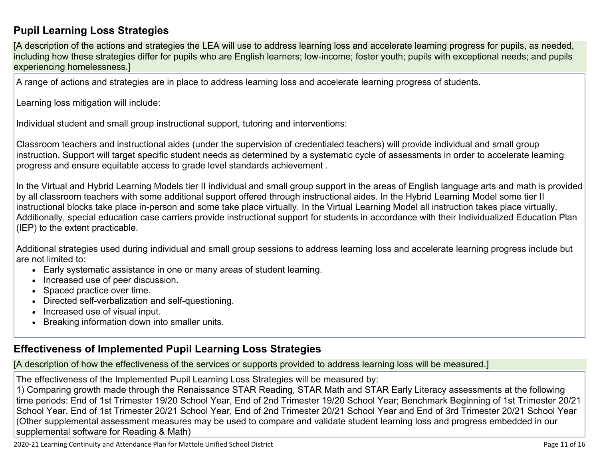### **Pupil Learning Loss [Strategies](http://www.doc-tracking.com/screenshots/20LCP/Instructions/20LCPInstructions.htm#PupilLearningLoss1)**

[A description of the actions and strategies the LEA will use to address learning loss and accelerate learning progress for pupils, as needed, including how these strategies differ for pupils who are English learners; low-income; foster youth; pupils with exceptional needs; and pupils experiencing homelessness.]

A range of actions and strategies are in place to address learning loss and accelerate learning progress of students.

Learning loss mitigation will include:

Individual student and small group instructional support, tutoring and interventions:

Classroom teachers and instructional aides (under the supervision of credentialed teachers) will provide individual and small group instruction. Support will target specific student needs as determined by a systematic cycle of assessments in order to accelerate learning progress and ensure equitable access to grade level standards achievement .

In the Virtual and Hybrid Learning Models tier II individual and small group support in the areas of English language arts and math is provided by all classroom teachers with some additional support offered through instructional aides. In the Hybrid Learning Model some tier II instructional blocks take place in-person and some take place virtually. In the Virtual Learning Model all instruction takes place virtually. Additionally, special education case carriers provide instructional support for students in accordance with their Individualized Education Plan (IEP) to the extent practicable.

Additional strategies used during individual and small group sessions to address learning loss and accelerate learning progress include but are not limited to:

- Early systematic assistance in one or many areas of student learning.
- Increased use of peer discussion.
- Spaced practice over time.
- Directed self-verbalization and self-questioning.
- Increased use of visual input.
- Breaking information down into smaller units.

### **[Effectiveness](http://www.doc-tracking.com/screenshots/20LCP/Instructions/20LCPInstructions.htm#PupilLearningLoss2) of Implemented Pupil Learning Loss Strategies**

[A description of how the effectiveness of the services or supports provided to address learning loss will be measured.]

The effectiveness of the Implemented Pupil Learning Loss Strategies will be measured by:

1) Comparing growth made through the Renaissance STAR Reading, STAR Math and STAR Early Literacy assessments at the following time periods: End of 1st Trimester 19/20 School Year, End of 2nd Trimester 19/20 School Year; Benchmark Beginning of 1st Trimester 20/21 School Year, End of 1st Trimester 20/21 School Year, End of 2nd Trimester 20/21 School Year and End of 3rd Trimester 20/21 School Year (Other supplemental assessment measures may be used to compare and validate student learning loss and progress embedded in our supplemental software for Reading & Math)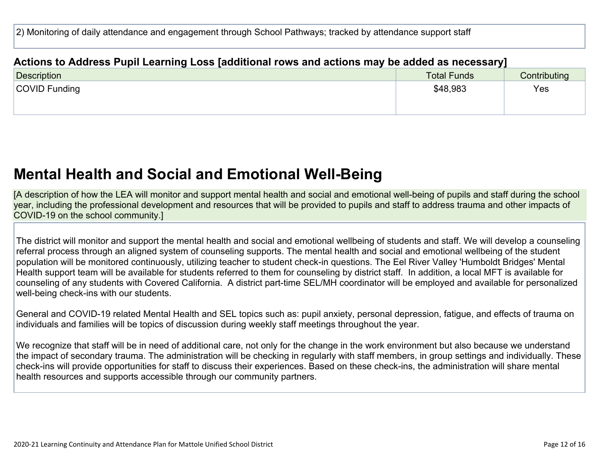2) Monitoring of daily attendance and engagement through School Pathways; tracked by attendance support staff

### **Actions to Address Pupil Learning Loss [additional rows and actions may be added as [necessary\]](http://www.doc-tracking.com/screenshots/20LCP/Instructions/20LCPInstructions.htm#PupilLearningLoss4)**

| Description   | <b>Total Funds</b> | Contributing |
|---------------|--------------------|--------------|
| COVID Funding | \$48,983           | Yes          |
|               |                    |              |

## **Mental Health and Social and Emotional [Well-Being](http://www.doc-tracking.com/screenshots/20LCP/Instructions/20LCPInstructions.htm#MentalHealthandSocialandEmotional)**

[A description of how the LEA will monitor and support mental health and social and emotional well-being of pupils and staff during the school year, including the professional development and resources that will be provided to pupils and staff to address trauma and other impacts of COVID-19 on the school community.]

The district will monitor and support the mental health and social and emotional wellbeing of students and staff. We will develop a counseling referral process through an aligned system of counseling supports. The mental health and social and emotional wellbeing of the student population will be monitored continuously, utilizing teacher to student check-in questions. The Eel River Valley 'Humboldt Bridges' Mental Health support team will be available for students referred to them for counseling by district staff. In addition, a local MFT is available for counseling of any students with Covered California. A district part-time SEL/MH coordinator will be employed and available for personalized well-being check-ins with our students.

General and COVID-19 related Mental Health and SEL topics such as: pupil anxiety, personal depression, fatigue, and effects of trauma on individuals and families will be topics of discussion during weekly staff meetings throughout the year.

We recognize that staff will be in need of additional care, not only for the change in the work environment but also because we understand the impact of secondary trauma. The administration will be checking in regularly with staff members, in group settings and individually. These check-ins will provide opportunities for staff to discuss their experiences. Based on these check-ins, the administration will share mental health resources and supports accessible through our community partners.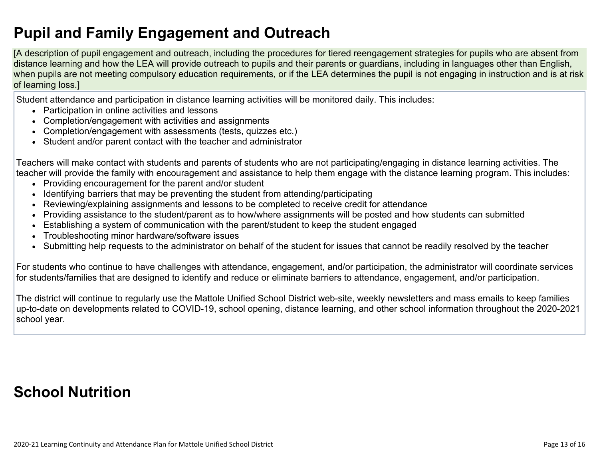# **Pupil and Family [Engagement](http://www.doc-tracking.com/screenshots/20LCP/Instructions/20LCPInstructions.htm#PupilEngagementandOutreach) and Outreach**

[A description of pupil engagement and outreach, including the procedures for tiered reengagement strategies for pupils who are absent from distance learning and how the LEA will provide outreach to pupils and their parents or guardians, including in languages other than English, when pupils are not meeting compulsory education requirements, or if the LEA determines the pupil is not engaging in instruction and is at risk of learning loss.]

Student attendance and participation in distance learning activities will be monitored daily. This includes:

- Participation in online activities and lessons
- Completion/engagement with activities and assignments
- Completion/engagement with assessments (tests, quizzes etc.)
- Student and/or parent contact with the teacher and administrator

Teachers will make contact with students and parents of students who are not participating/engaging in distance learning activities. The teacher will provide the family with encouragement and assistance to help them engage with the distance learning program. This includes:

- Providing encouragement for the parent and/or student
- Identifying barriers that may be preventing the student from attending/participating
- Reviewing/explaining assignments and lessons to be completed to receive credit for attendance
- Providing assistance to the student/parent as to how/where assignments will be posted and how students can submitted
- Establishing a system of communication with the parent/student to keep the student engaged
- Troubleshooting minor hardware/software issues
- Submitting help requests to the administrator on behalf of the student for issues that cannot be readily resolved by the teacher

For students who continue to have challenges with attendance, engagement, and/or participation, the administrator will coordinate services for students/families that are designed to identify and reduce or eliminate barriers to attendance, engagement, and/or participation.

The district will continue to regularly use the Mattole Unified School District web-site, weekly newsletters and mass emails to keep families up-to-date on developments related to COVID-19, school opening, distance learning, and other school information throughout the 2020-2021 school year.

# **School [Nutrition](http://www.doc-tracking.com/screenshots/20LCP/Instructions/20LCPInstructions.htm#SchoolNutrition)**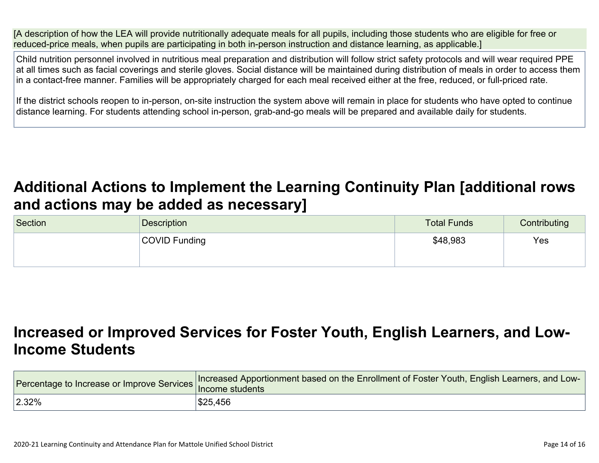[A description of how the LEA will provide nutritionally adequate meals for all pupils, including those students who are eligible for free or reduced-price meals, when pupils are participating in both in-person instruction and distance learning, as applicable.]

Child nutrition personnel involved in nutritious meal preparation and distribution will follow strict safety protocols and will wear required PPE at all times such as facial coverings and sterile gloves. Social distance will be maintained during distribution of meals in order to access them in a contact-free manner. Families will be appropriately charged for each meal received either at the free, reduced, or full-priced rate.

If the district schools reopen to in-person, on-site instruction the system above will remain in place for students who have opted to continue distance learning. For students attending school in-person, grab-and-go meals will be prepared and available daily for students.

# **Additional Actions to Implement the Learning Continuity Plan [\[additional](http://www.doc-tracking.com/screenshots/20LCP/Instructions/20LCPInstructions.htm#AdditionalActions) rows and actions may be added as [necessary\]](http://www.doc-tracking.com/screenshots/20LCP/Instructions/20LCPInstructions.htm#AdditionalActions)**

| Section | <b>Description</b> | <b>Total Funds</b> | Contributing |
|---------|--------------------|--------------------|--------------|
|         | COVID Funding      | \$48,983           | Yes          |
|         |                    |                    |              |

# **[Increased](http://www.doc-tracking.com/screenshots/20LCP/Instructions/20LCPInstructions.htm#IncreasedorImprovedServices) or Improved Services for Foster Youth, English Learners, and Low-Income [Students](http://www.doc-tracking.com/screenshots/20LCP/Instructions/20LCPInstructions.htm#IncreasedorImprovedServices)**

|       | Tercentage to Increase or Improve Services Increased Apportionment based on the Enrollment of Foster Youth, English Learners, and Loter Youth, English Learners, and Loter |
|-------|----------------------------------------------------------------------------------------------------------------------------------------------------------------------------|
| 2.32% | \$25,456                                                                                                                                                                   |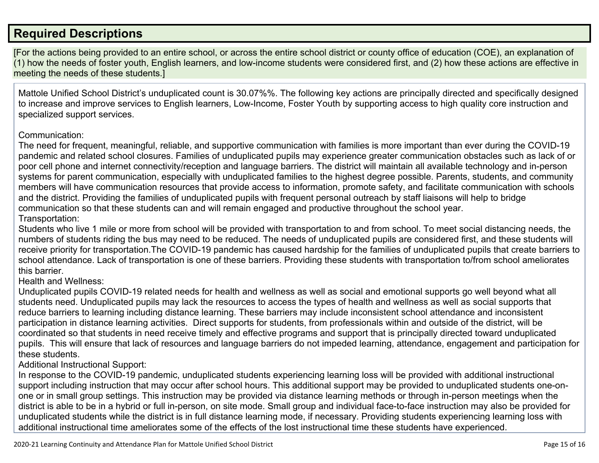### **Required [Descriptions](http://www.doc-tracking.com/screenshots/20LCP/Instructions/20LCPInstructions.htm#RequiredDescriptions)**

[For the actions being provided to an entire school, or across the entire school district or county office of education (COE), an explanation of (1) how the needs of foster youth, English learners, and low-income students were considered first, and (2) how these actions are effective in meeting the needs of these students.]

Mattole Unified School District's unduplicated count is 30.07%%. The following key actions are principally directed and specifically designed to increase and improve services to English learners, Low-Income, Foster Youth by supporting access to high quality core instruction and specialized support services.

### Communication:

The need for frequent, meaningful, reliable, and supportive communication with families is more important than ever during the COVID-19 pandemic and related school closures. Families of unduplicated pupils may experience greater communication obstacles such as lack of or poor cell phone and internet connectivity/reception and language barriers. The district will maintain all available technology and in-person systems for parent communication, especially with unduplicated families to the highest degree possible. Parents, students, and community members will have communication resources that provide access to information, promote safety, and facilitate communication with schools and the district. Providing the families of unduplicated pupils with frequent personal outreach by staff liaisons will help to bridge communication so that these students can and will remain engaged and productive throughout the school year. Transportation:

Students who live 1 mile or more from school will be provided with transportation to and from school. To meet social distancing needs, the numbers of students riding the bus may need to be reduced. The needs of unduplicated pupils are considered first, and these students will receive priority for transportation.The COVID-19 pandemic has caused hardship for the families of unduplicated pupils that create barriers to school attendance. Lack of transportation is one of these barriers. Providing these students with transportation to/from school ameliorates this barrier.

### Health and Wellness:

Unduplicated pupils COVID-19 related needs for health and wellness as well as social and emotional supports go well beyond what all students need. Unduplicated pupils may lack the resources to access the types of health and wellness as well as social supports that reduce barriers to learning including distance learning. These barriers may include inconsistent school attendance and inconsistent participation in distance learning activities. Direct supports for students, from professionals within and outside of the district, will be coordinated so that students in need receive timely and effective programs and support that is principally directed toward unduplicated pupils. This will ensure that lack of resources and language barriers do not impeded learning, attendance, engagement and participation for these students.

### Additional Instructional Support:

In response to the COVID-19 pandemic, unduplicated students experiencing learning loss will be provided with additional instructional support including instruction that may occur after school hours. This additional support may be provided to unduplicated students one-onone or in small group settings. This instruction may be provided via distance learning methods or through in-person meetings when the district is able to be in a hybrid or full in-person, on site mode. Small group and individual face-to-face instruction may also be provided for unduplicated students while the district is in full distance learning mode, if necessary. Providing students experiencing learning loss with additional instructional time ameliorates some of the effects of the lost instructional time these students have experienced.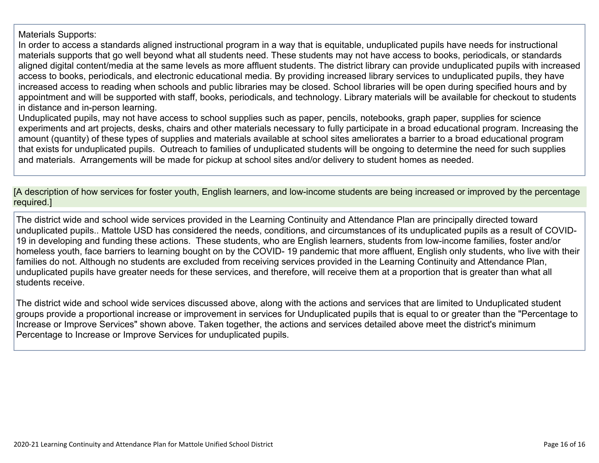### Materials Supports:

In order to access a standards aligned instructional program in a way that is equitable, unduplicated pupils have needs for instructional materials supports that go well beyond what all students need. These students may not have access to books, periodicals, or standards aligned digital content/media at the same levels as more affluent students. The district library can provide unduplicated pupils with increased access to books, periodicals, and electronic educational media. By providing increased library services to unduplicated pupils, they have increased access to reading when schools and public libraries may be closed. School libraries will be open during specified hours and by appointment and will be supported with staff, books, periodicals, and technology. Library materials will be available for checkout to students in distance and in-person learning.

Unduplicated pupils, may not have access to school supplies such as paper, pencils, notebooks, graph paper, supplies for science experiments and art projects, desks, chairs and other materials necessary to fully participate in a broad educational program. Increasing the amount (quantity) of these types of supplies and materials available at school sites ameliorates a barrier to a broad educational program that exists for unduplicated pupils. Outreach to families of unduplicated students will be ongoing to determine the need for such supplies and materials. Arrangements will be made for pickup at school sites and/or delivery to student homes as needed.

[A description of how services for foster youth, English learners, and low-income students are being increased or improved by the percentage required.]

The district wide and school wide services provided in the Learning Continuity and Attendance Plan are principally directed toward unduplicated pupils.. Mattole USD has considered the needs, conditions, and circumstances of its unduplicated pupils as a result of COVID-19 in developing and funding these actions. These students, who are English learners, students from low-income families, foster and/or homeless youth, face barriers to learning bought on by the COVID- 19 pandemic that more affluent, English only students, who live with their families do not. Although no students are excluded from receiving services provided in the Learning Continuity and Attendance Plan, unduplicated pupils have greater needs for these services, and therefore, will receive them at a proportion that is greater than what all students receive.

The district wide and school wide services discussed above, along with the actions and services that are limited to Unduplicated student groups provide a proportional increase or improvement in services for Unduplicated pupils that is equal to or greater than the "Percentage to Increase or Improve Services" shown above. Taken together, the actions and services detailed above meet the district's minimum Percentage to Increase or Improve Services for unduplicated pupils.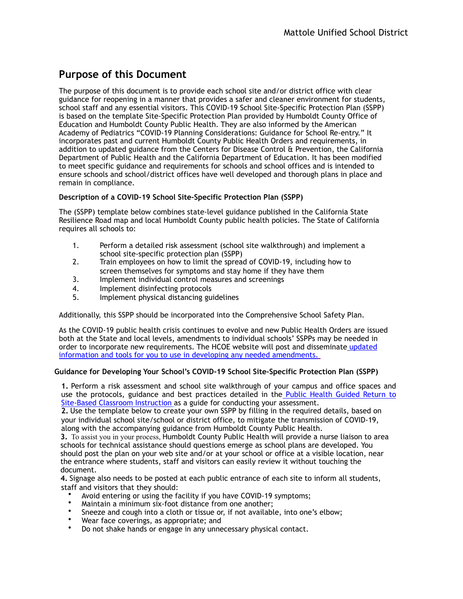### **Purpose of this Document**

The purpose of this document is to provide each school site and/or district office with clear guidance for reopening in a manner that provides a safer and cleaner environment for students, school staff and any essential visitors. This COVID-19 School Site-Specific Protection Plan (SSPP) is based on the template Site-Specific Protection Plan provided by Humboldt County Office of Education and Humboldt County Public Health. They are also informed by the American Academy of Pediatrics "COVID-19 Planning Considerations: Guidance for School Re-entry." It incorporates past and current Humboldt County Public Health Orders and requirements, in addition to updated guidance from the Centers for Disease Control & Prevention, the California Department of Public Health and the California Department of Education. It has been modified to meet specific guidance and requirements for schools and school offices and is intended to ensure schools and school/district offices have well developed and thorough plans in place and remain in compliance.

#### **Description of a COVID-19 School Site-Specific Protection Plan (SSPP)**

The (SSPP) template below combines state-level guidance published in the California State Resilience Road map and local Humboldt County public health policies. The State of California requires all schools to:

- 1. Perform a detailed risk assessment (school site walkthrough) and implement a school site-specific protection plan (SSPP)
- 2. Train employees on how to limit the spread of COVID-19, including how to screen themselves for symptoms and stay home if they have them
- 3. Implement individual control measures and screenings
- 4. Implement disinfecting protocols
- 5. Implement physical distancing guidelines

Additionally, this SSPP should be incorporated into the Comprehensive School Safety Plan.

As the COVID-19 public health crisis continues to evolve and new Public Health Orders are issued both at the State and local levels, amendments to individual schools' SSPPs may be needed in [order to incorporate new requirements. The HCOE website will post and disseminate](https://hcoe.org/covid-19/) updated information and tools for you to use in developing any needed amendments.

#### **Guidance for Developing Your School's COVID-19 School Site-Specific Protection Plan (SSPP)**

**1.** Perform a risk assessment and school site walkthrough of your campus and office spaces and [use the protocols, guidance and best practices detailed in the Public Health Guided Return to](https://humboldtcoe-my.sharepoint.com/:w:/g/personal/csmart_hcoe_org1/EV3eL78OA5JEvE85uhM8wE0BUGpEB0X5HirvUdVG5MEavw?e=r8bu2e) Site-Based Classroom Instruction as a guide for conducting your assessment.

**2.** Use the template below to create your own SSPP by filling in the required details, based on your individual school site/school or district office, to mitigate the transmission of COVID-19, along with the accompanying guidance from Humboldt County Public Health.

**3.** To assist you in your process, Humboldt County Public Health will provide a nurse liaison to area schools for technical assistance should questions emerge as school plans are developed. You should post the plan on your web site and/or at your school or office at a visible location, near the entrance where students, staff and visitors can easily review it without touching the document.

**4.** Signage also needs to be posted at each public entrance of each site to inform all students, staff and visitors that they should:

- Avoid entering or using the facility if you have COVID-19 symptoms;
- Maintain a minimum six-foot distance from one another;
- Sneeze and cough into a cloth or tissue or, if not available, into one's elbow;
- Wear face coverings, as appropriate; and
- Do not shake hands or engage in any unnecessary physical contact.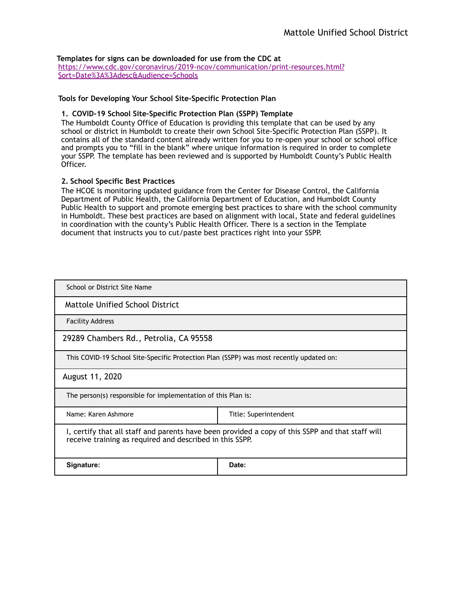#### **Templates for signs can be downloaded for use from the CDC at**

[https://www.cdc.gov/coronavirus/2019-ncov/communication/print-resources.html?](https://www.cdc.gov/coronavirus/2019-ncov/communication/print-resources.html?Sort=Date%253A%253Adesc&Audience=Schools) Sort=Date%3A%3Adesc&Audience=Schools

#### **Tools for Developing Your School Site-Specific Protection Plan**

#### **1. COVID-19 School Site-Specific Protection Plan (SSPP) Template**

The Humboldt County Office of Education is providing this template that can be used by any school or district in Humboldt to create their own School Site-Specific Protection Plan (SSPP). It contains all of the standard content already written for you to re-open your school or school office and prompts you to "fill in the blank" where unique information is required in order to complete your SSPP. The template has been reviewed and is supported by Humboldt County's Public Health Officer.

#### **2. School Specific Best Practices**

The HCOE is monitoring updated guidance from the Center for Disease Control, the California Department of Public Health, the California Department of Education, and Humboldt County Public Health to support and promote emerging best practices to share with the school community in Humboldt. These best practices are based on alignment with local, State and federal guidelines in coordination with the county's Public Health Officer. There is a section in the Template document that instructs you to cut/paste best practices right into your SSPP.

| School or District Site Name                                                                                                                                 |                       |  |  |
|--------------------------------------------------------------------------------------------------------------------------------------------------------------|-----------------------|--|--|
| Mattole Unified School District                                                                                                                              |                       |  |  |
| <b>Facility Address</b>                                                                                                                                      |                       |  |  |
| 29289 Chambers Rd., Petrolia, CA 95558                                                                                                                       |                       |  |  |
| This COVID-19 School Site-Specific Protection Plan (SSPP) was most recently updated on:                                                                      |                       |  |  |
| August 11, 2020                                                                                                                                              |                       |  |  |
| The person(s) responsible for implementation of this Plan is:                                                                                                |                       |  |  |
| Name: Karen Ashmore                                                                                                                                          | Title: Superintendent |  |  |
| I, certify that all staff and parents have been provided a copy of this SSPP and that staff will<br>receive training as required and described in this SSPP. |                       |  |  |
| Signature:                                                                                                                                                   | Date:                 |  |  |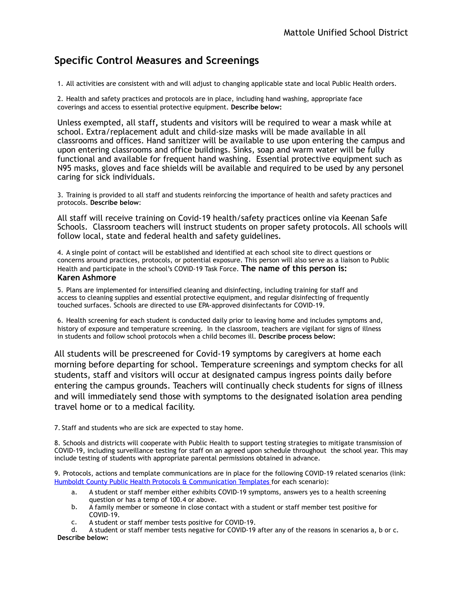### **Specific Control Measures and Screenings**

1. All activities are consistent with and will adjust to changing applicable state and local Public Health orders.

2. Health and safety practices and protocols are in place, including hand washing, appropriate face coverings and access to essential protective equipment. **Describe below:** 

Unless exempted, all staff**,** students and visitors will be required to wear a mask while at school. Extra/replacement adult and child-size masks will be made available in all classrooms and offices. Hand sanitizer will be available to use upon entering the campus and upon entering classrooms and office buildings. Sinks, soap and warm water will be fully functional and available for frequent hand washing. Essential protective equipment such as N95 masks, gloves and face shields will be available and required to be used by any personel caring for sick individuals.

3. Training is provided to all staff and students reinforcing the importance of health and safety practices and protocols. **Describe below**:

All staff will receive training on Covid-19 health/safety practices online via Keenan Safe Schools. Classroom teachers will instruct students on proper safety protocols. All schools will follow local, state and federal health and safety guidelines.

4. A single point of contact will be established and identified at each school site to direct questions or concerns around practices, protocols, or potential exposure. This person will also serve as a liaison to Public Health and participate in the school's COVID-19 Task Force. **The name of this person is: Karen Ashmore**

5. Plans are implemented for intensified cleaning and disinfecting, including training for staff and access to cleaning supplies and essential protective equipment, and regular disinfecting of frequently touched surfaces. Schools are directed to use EPA-approved disinfectants for COVID-19.

6. Health screening for each student is conducted daily prior to leaving home and includes symptoms and, history of exposure and temperature screening. In the classroom, teachers are vigilant for signs of illness in students and follow school protocols when a child becomes ill. **Describe process below:**

All students will be prescreened for Covid-19 symptoms by caregivers at home each morning before departing for school. Temperature screenings and symptom checks for all students, staff and visitors will occur at designated campus ingress points daily before entering the campus grounds. Teachers will continually check students for signs of illness and will immediately send those with symptoms to the designated isolation area pending travel home or to a medical facility.

7. Staff and students who are sick are expected to stay home.

8. Schools and districts will cooperate with Public Health to support testing strategies to mitigate transmission of COVID-19, including surveillance testing for staff on an agreed upon schedule throughout the school year. This may include testing of students with appropriate parental permissions obtained in advance.

9. Protocols, actions and template communications are in place for the following COVID-19 related scenarios (link: [Humboldt County Public Health Protocols & Communication Templates](https://humboldtcoe-my.sharepoint.com/personal/csmart_hcoe_org1/_layouts/15/onedrive.aspx?id=%252Fpersonal%252Fcsmart%255Fhcoe%255Forg1%252FDocuments%252FReopening%2520CDPH%2520Form&originalPath=aHR0cHM6Ly9odW1ib2xkdGNvZS1teS5zaGFyZXBvaW50LmNvbS86ZjovZy9wZXJzb25hbC9jc21hcnRfaGNvZV9vcmcxL0VqTFVvS1ZwMjNOQnRXak1xUUVmQ1RNQkJkZi14Q1hicThDZE1oYW1PNWZncFE_cnRpbWU9MmZoUkJZMGkyRWc) for each scenario):

- a. A student or staff member either exhibits COVID-19 symptoms, answers yes to a health screening question or has a temp of 100.4 or above.
- b. A family member or someone in close contact with a student or staff member test positive for COVID-19.
- c. A student or staff member tests positive for COVID-19.

d. A student or staff member tests negative for COVID-19 after any of the reasons in scenarios a, b or c. **Describe below:**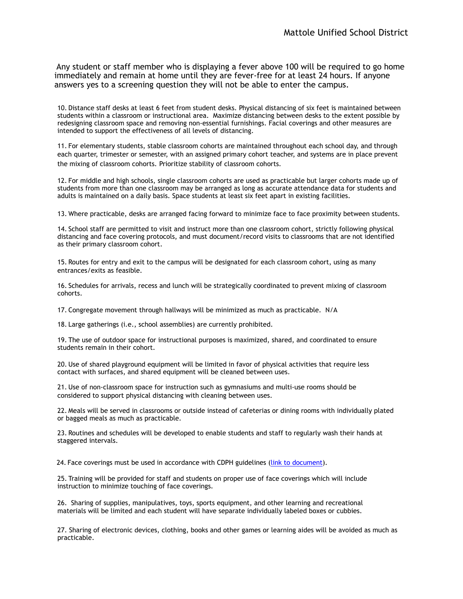Any student or staff member who is displaying a fever above 100 will be required to go home immediately and remain at home until they are fever-free for at least 24 hours. If anyone answers yes to a screening question they will not be able to enter the campus.

10. Distance staff desks at least 6 feet from student desks. Physical distancing of six feet is maintained between students within a classroom or instructional area. Maximize distancing between desks to the extent possible by redesigning classroom space and removing non-essential furnishings. Facial coverings and other measures are intended to support the effectiveness of all levels of distancing.

11. For elementary students, stable classroom cohorts are maintained throughout each school day, and through each quarter, trimester or semester, with an assigned primary cohort teacher, and systems are in place prevent the mixing of classroom cohorts. Prioritize stability of classroom cohorts.

12. For middle and high schools, single classroom cohorts are used as practicable but larger cohorts made up of students from more than one classroom may be arranged as long as accurate attendance data for students and adults is maintained on a daily basis. Space students at least six feet apart in existing facilities.

13. Where practicable, desks are arranged facing forward to minimize face to face proximity between students.

14. School staff are permitted to visit and instruct more than one classroom cohort, strictly following physical distancing and face covering protocols, and must document/record visits to classrooms that are not identified as their primary classroom cohort.

15. Routes for entry and exit to the campus will be designated for each classroom cohort, using as many entrances/exits as feasible.

16. Schedules for arrivals, recess and lunch will be strategically coordinated to prevent mixing of classroom cohorts.

17. Congregate movement through hallways will be minimized as much as practicable. N/A

18. Large gatherings (i.e., school assemblies) are currently prohibited.

19. The use of outdoor space for instructional purposes is maximized, shared, and coordinated to ensure students remain in their cohort.

20. Use of shared playground equipment will be limited in favor of physical activities that require less contact with surfaces, and shared equipment will be cleaned between uses.

21. Use of non-classroom space for instruction such as gymnasiums and multi-use rooms should be considered to support physical distancing with cleaning between uses.

22. Meals will be served in classrooms or outside instead of cafeterias or dining rooms with individually plated or bagged meals as much as practicable.

23. Routines and schedules will be developed to enable students and staff to regularly wash their hands at staggered intervals.

24. Face coverings must be used in accordance with CDPH guidelines [\(link to document\)](https://files.covid19.ca.gov/pdf/guidance-schools.pdf#page=7).

25. Training will be provided for staff and students on proper use of face coverings which will include instruction to minimize touching of face coverings.

26. Sharing of supplies, manipulatives, toys, sports equipment, and other learning and recreational materials will be limited and each student will have separate individually labeled boxes or cubbies.

27. Sharing of electronic devices, clothing, books and other games or learning aides will be avoided as much as practicable.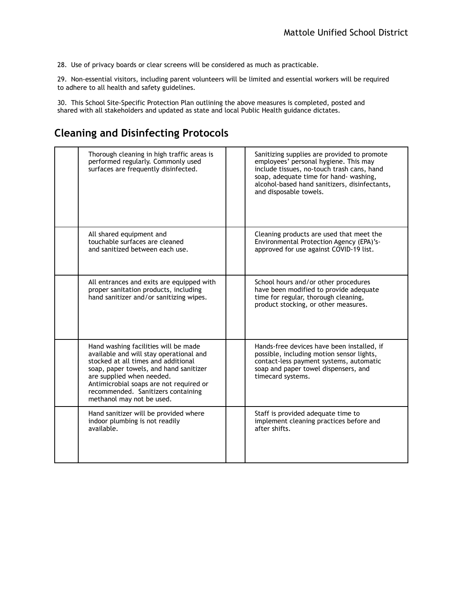28. Use of privacy boards or clear screens will be considered as much as practicable.

29. Non-essential visitors, including parent volunteers will be limited and essential workers will be required to adhere to all health and safety guidelines.

30. This School Site-Specific Protection Plan outlining the above measures is completed, posted and shared with all stakeholders and updated as state and local Public Health guidance dictates.

### **Cleaning and Disinfecting Protocols**

| Thorough cleaning in high traffic areas is<br>performed regularly. Commonly used<br>surfaces are frequently disinfected.                                                                                                                                                                                    | Sanitizing supplies are provided to promote<br>employees' personal hygiene. This may<br>include tissues, no-touch trash cans, hand<br>soap, adequate time for hand- washing,<br>alcohol-based hand sanitizers, disinfectants,<br>and disposable towels. |
|-------------------------------------------------------------------------------------------------------------------------------------------------------------------------------------------------------------------------------------------------------------------------------------------------------------|---------------------------------------------------------------------------------------------------------------------------------------------------------------------------------------------------------------------------------------------------------|
| All shared equipment and<br>touchable surfaces are cleaned<br>and sanitized between each use.                                                                                                                                                                                                               | Cleaning products are used that meet the<br>Environmental Protection Agency (EPA)'s-<br>approved for use against COVID-19 list.                                                                                                                         |
| All entrances and exits are equipped with<br>proper sanitation products, including<br>hand sanitizer and/or sanitizing wipes.                                                                                                                                                                               | School hours and/or other procedures<br>have been modified to provide adequate<br>time for regular, thorough cleaning,<br>product stocking, or other measures.                                                                                          |
| Hand washing facilities will be made<br>available and will stay operational and<br>stocked at all times and additional<br>soap, paper towels, and hand sanitizer<br>are supplied when needed.<br>Antimicrobial soaps are not required or<br>recommended. Sanitizers containing<br>methanol may not be used. | Hands-free devices have been installed, if<br>possible, including motion sensor lights,<br>contact-less payment systems, automatic<br>soap and paper towel dispensers, and<br>timecard systems.                                                         |
| Hand sanitizer will be provided where<br>indoor plumbing is not readily<br>available.                                                                                                                                                                                                                       | Staff is provided adequate time to<br>implement cleaning practices before and<br>after shifts.                                                                                                                                                          |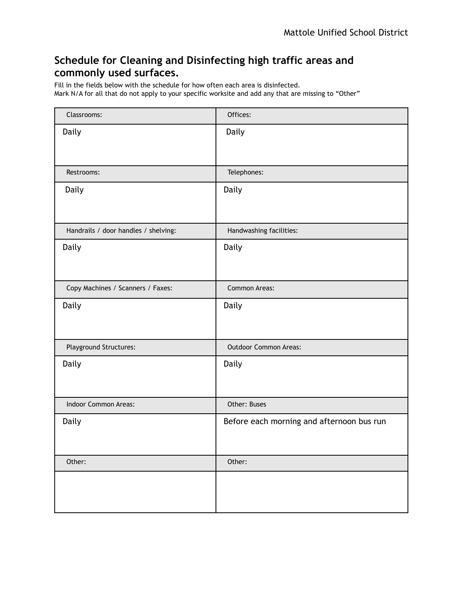### **Schedule for Cleaning and Disinfecting high traffic areas and commonly used surfaces.**

Fill in the fields below with the schedule for how often each area is disinfected. Mark N/A for all that do not apply to your specific worksite and add any that are missing to "Other"

| Classrooms:                          | Offices:                                  |
|--------------------------------------|-------------------------------------------|
| Daily                                | Daily                                     |
| Restrooms:                           | Telephones:                               |
| Daily                                | Daily                                     |
| Handrails / door handles / shelving: | Handwashing facilities:                   |
| Daily                                | Daily                                     |
| Copy Machines / Scanners / Faxes:    | Common Areas:                             |
| Daily                                | Daily                                     |
| Playground Structures:               | <b>Outdoor Common Areas:</b>              |
| Daily                                | Daily                                     |
| Indoor Common Areas:                 | Other: Buses                              |
| Daily                                | Before each morning and afternoon bus run |
| Other:                               | Other:                                    |
|                                      |                                           |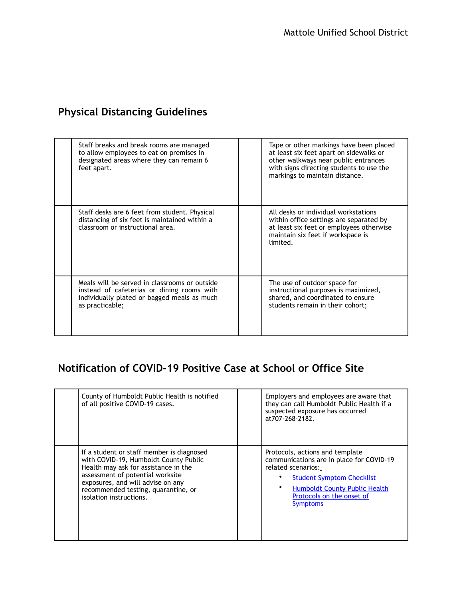## **Physical Distancing Guidelines**

| Staff breaks and break rooms are managed<br>to allow employees to eat on premises in<br>designated areas where they can remain 6<br>feet apart.               | Tape or other markings have been placed<br>at least six feet apart on sidewalks or<br>other walkways near public entrances<br>with signs directing students to use the<br>markings to maintain distance. |
|---------------------------------------------------------------------------------------------------------------------------------------------------------------|----------------------------------------------------------------------------------------------------------------------------------------------------------------------------------------------------------|
| Staff desks are 6 feet from student. Physical<br>distancing of six feet is maintained within a<br>classroom or instructional area.                            | All desks or individual workstations<br>within office settings are separated by<br>at least six feet or employees otherwise<br>maintain six feet if workspace is<br>limited.                             |
| Meals will be served in classrooms or outside<br>instead of cafeterias or dining rooms with<br>individually plated or bagged meals as much<br>as practicable; | The use of outdoor space for<br>instructional purposes is maximized,<br>shared, and coordinated to ensure<br>students remain in their cohort;                                                            |

### **Notification of COVID-19 Positive Case at School or Office Site**

| County of Humboldt Public Health is notified<br>of all positive COVID-19 cases. | Employers and employees are aware that<br>they can call Humboldt Public Health if a<br>suspected exposure has occurred<br>at 707-268-2182. |
|---------------------------------------------------------------------------------|--------------------------------------------------------------------------------------------------------------------------------------------|
| If a student or staff member is diagnosed                                       | Protocols, actions and template                                                                                                            |
| with COVID-19, Humboldt County Public                                           | communications are in place for COVID-19                                                                                                   |
| Health may ask for assistance in the                                            | related scenarios:                                                                                                                         |
| assessment of potential worksite                                                | <b>Student Symptom Checklist</b>                                                                                                           |
| exposures, and will advise on any                                               | <b>Humboldt County Public Health</b>                                                                                                       |
| recommended testing, quarantine, or                                             | Protocols on the onset of                                                                                                                  |
| isolation instructions.                                                         | <b>Symptoms</b>                                                                                                                            |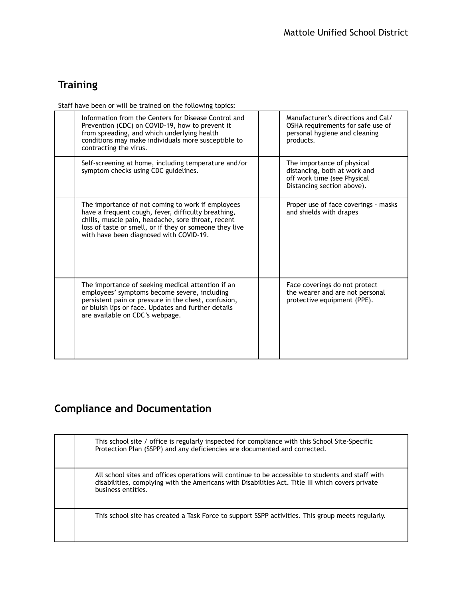## **Training**

Staff have been or will be trained on the following topics:

| Information from the Centers for Disease Control and<br>Prevention (CDC) on COVID-19, how to prevent it<br>from spreading, and which underlying health<br>conditions may make individuals more susceptible to<br>contracting the virus.                              | Manufacturer's directions and Cal/<br>OSHA requirements for safe use of<br>personal hygiene and cleaning<br>products.   |
|----------------------------------------------------------------------------------------------------------------------------------------------------------------------------------------------------------------------------------------------------------------------|-------------------------------------------------------------------------------------------------------------------------|
| Self-screening at home, including temperature and/or<br>symptom checks using CDC guidelines.                                                                                                                                                                         | The importance of physical<br>distancing, both at work and<br>off work time (see Physical<br>Distancing section above). |
| The importance of not coming to work if employees<br>have a frequent cough, fever, difficulty breathing,<br>chills, muscle pain, headache, sore throat, recent<br>loss of taste or smell, or if they or someone they live<br>with have been diagnosed with COVID-19. | Proper use of face coverings - masks<br>and shields with drapes                                                         |
| The importance of seeking medical attention if an<br>employees' symptoms become severe, including<br>persistent pain or pressure in the chest, confusion,<br>or bluish lips or face. Updates and further details<br>are available on CDC's webpage.                  | Face coverings do not protect<br>the wearer and are not personal<br>protective equipment (PPE).                         |

## **Compliance and Documentation**

| This school site / office is regularly inspected for compliance with this School Site-Specific<br>Protection Plan (SSPP) and any deficiencies are documented and corrected.                                                 |
|-----------------------------------------------------------------------------------------------------------------------------------------------------------------------------------------------------------------------------|
| All school sites and offices operations will continue to be accessible to students and staff with<br>disabilities, complying with the Americans with Disabilities Act. Title III which covers private<br>business entities. |
| This school site has created a Task Force to support SSPP activities. This group meets regularly.                                                                                                                           |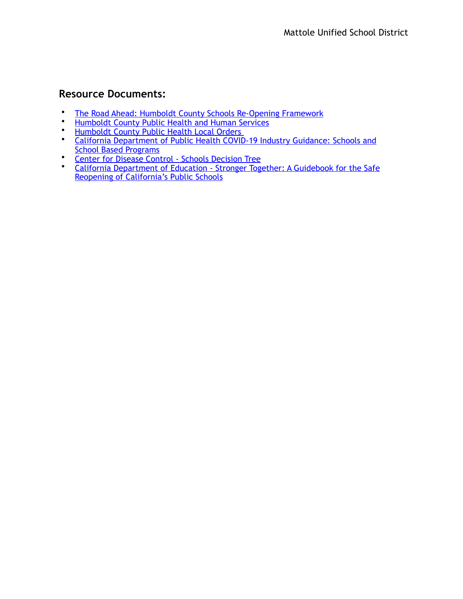### **Resource Documents:**

- [The Road Ahead: Humboldt County Schools Re-Opening Framework](https://humboldtcoe-my.sharepoint.com/:b:/g/personal/csmart_hcoe_org1/ESV78BnYJ0RJj-ngyS7-xGYBfxDEyl5313HVuEBavQ5W-g?e=B5GJQQ)<br>• Humboldt County Public Health and Human Services
- [Humboldt County Public Health and Human Services](https://humboldtgov.org/192/Health-Human-Services)<br>• Humboldt County Public Health Local Orders
- [Humboldt County Public Health Local Orders](https://humboldtgov.org/2725/Local-Orders)
- [California Department of Public Health COVID-19 Industry Guidance: Schools and](https://files.covid19.ca.gov/pdf/guidance-schools.pdf)  School Based Programs
- [Center for Disease Control Schools Decision Tree](https://www.cdc.gov/coronavirus/2019-ncov/community/schools-childcare/guidance-for-schools.html)<br>• California Department of Education Stronger Tog
- **California Department of Education Stronger Together: A Guidebook for the Safe** Reopening of California's Public Schools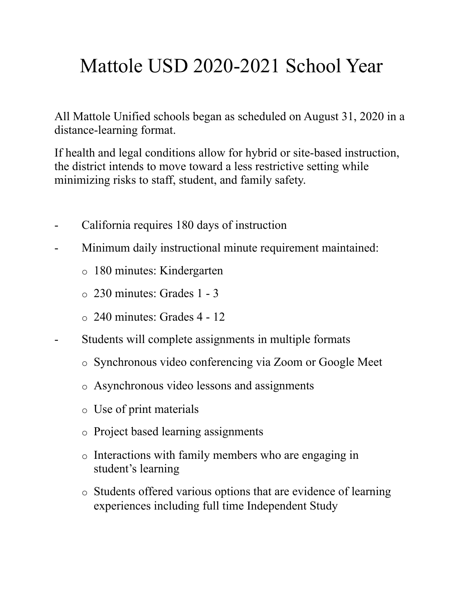# Mattole USD 2020-2021 School Year

All Mattole Unified schools began as scheduled on August 31, 2020 in a distance-learning format.

If health and legal conditions allow for hybrid or site-based instruction, the district intends to move toward a less restrictive setting while minimizing risks to staff, student, and family safety.

- California requires 180 days of instruction
- Minimum daily instructional minute requirement maintained:
	- o 180 minutes: Kindergarten
	- o 230 minutes: Grades 1 3
	- $\circ$  240 minutes: Grades 4 12
- Students will complete assignments in multiple formats
	- o Synchronous video conferencing via Zoom or Google Meet
	- o Asynchronous video lessons and assignments
	- o Use of print materials
	- o Project based learning assignments
	- o Interactions with family members who are engaging in student's learning
	- o Students offered various options that are evidence of learning experiences including full time Independent Study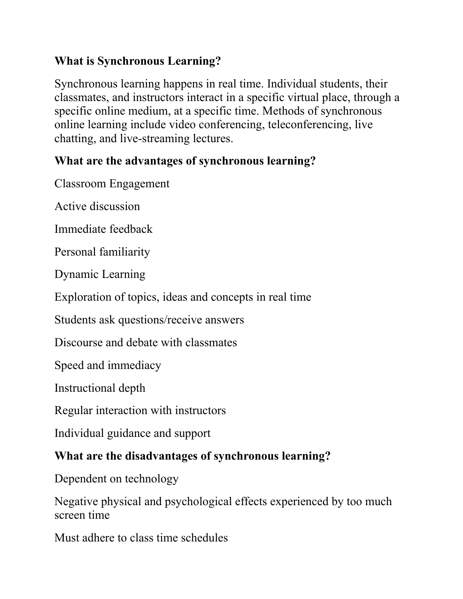## **What is Synchronous Learning?**

Synchronous learning happens in real time. Individual students, their classmates, and instructors interact in a specific virtual place, through a specific online medium, at a specific time. Methods of synchronous online learning include video conferencing, teleconferencing, live chatting, and live-streaming lectures.

## **What are the advantages of synchronous learning?**

Classroom Engagement

Active discussion

Immediate feedback

Personal familiarity

Dynamic Learning

Exploration of topics, ideas and concepts in real time

Students ask questions/receive answers

Discourse and debate with classmates

Speed and immediacy

Instructional depth

Regular interaction with instructors

Individual guidance and support

## **What are the disadvantages of synchronous learning?**

Dependent on technology

Negative physical and psychological effects experienced by too much screen time

Must adhere to class time schedules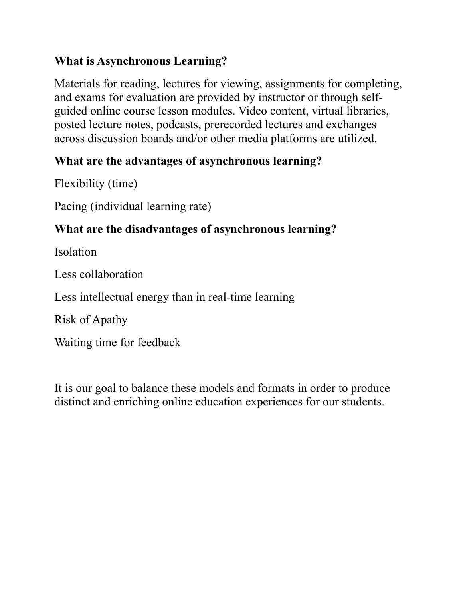## **What is Asynchronous Learning?**

Materials for reading, lectures for viewing, assignments for completing, and exams for evaluation are provided by instructor or through selfguided online course lesson modules. Video content, virtual libraries, posted lecture notes, podcasts, prerecorded lectures and exchanges across discussion boards and/or other media platforms are utilized.

## **What are the advantages of asynchronous learning?**

Flexibility (time)

Pacing (individual learning rate)

## **What are the disadvantages of asynchronous learning?**

Isolation

Less collaboration

Less intellectual energy than in real-time learning

Risk of Apathy

Waiting time for feedback

It is our goal to balance these models and formats in order to produce distinct and enriching online education experiences for our students.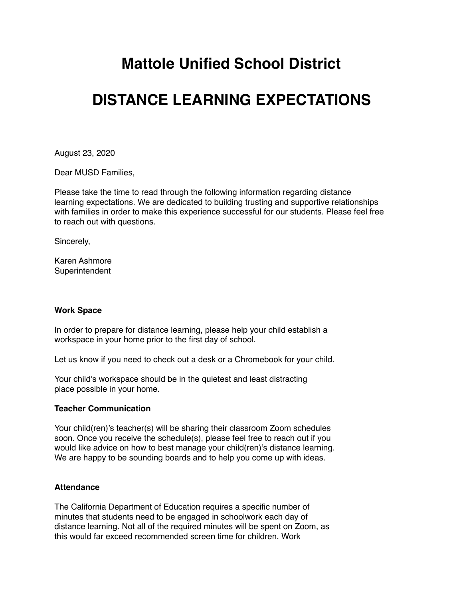# **Mattole Unified School District**

# **DISTANCE LEARNING EXPECTATIONS**

August 23, 2020

Dear MUSD Families,

Please take the time to read through the following information regarding distance learning expectations. We are dedicated to building trusting and supportive relationships with families in order to make this experience successful for our students. Please feel free to reach out with questions.

Sincerely,

Karen Ashmore **Superintendent** 

#### **Work Space**

In order to prepare for distance learning, please help your child establish a workspace in your home prior to the first day of school.

Let us know if you need to check out a desk or a Chromebook for your child.

Your child's workspace should be in the quietest and least distracting place possible in your home.

### **Teacher Communication**

Your child(ren)'s teacher(s) will be sharing their classroom Zoom schedules soon. Once you receive the schedule(s), please feel free to reach out if you would like advice on how to best manage your child(ren)'s distance learning. We are happy to be sounding boards and to help you come up with ideas.

### **Attendance**

The California Department of Education requires a specific number of minutes that students need to be engaged in schoolwork each day of distance learning. Not all of the required minutes will be spent on Zoom, as this would far exceed recommended screen time for children. Work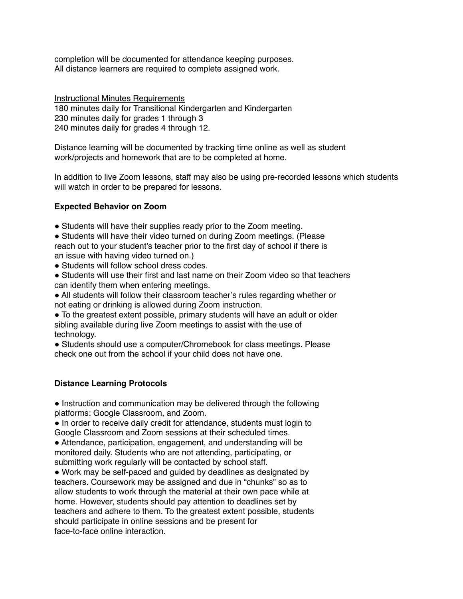completion will be documented for attendance keeping purposes. All distance learners are required to complete assigned work.

Instructional Minutes Requirements 180 minutes daily for Transitional Kindergarten and Kindergarten 230 minutes daily for grades 1 through 3 240 minutes daily for grades 4 through 12.

Distance learning will be documented by tracking time online as well as student work/projects and homework that are to be completed at home.

In addition to live Zoom lessons, staff may also be using pre-recorded lessons which students will watch in order to be prepared for lessons.

### **Expected Behavior on Zoom**

• Students will have their supplies ready prior to the Zoom meeting.

• Students will have their video turned on during Zoom meetings. (Please reach out to your student's teacher prior to the first day of school if there is an issue with having video turned on.)

• Students will follow school dress codes.

! Students will use their first and last name on their Zoom video so that teachers can identify them when entering meetings.

! All students will follow their classroom teacher's rules regarding whether or not eating or drinking is allowed during Zoom instruction.

• To the greatest extent possible, primary students will have an adult or older sibling available during live Zoom meetings to assist with the use of technology.

! Students should use a computer/Chromebook for class meetings. Please check one out from the school if your child does not have one.

### **Distance Learning Protocols**

• Instruction and communication may be delivered through the following platforms: Google Classroom, and Zoom.

• In order to receive daily credit for attendance, students must login to Google Classroom and Zoom sessions at their scheduled times.

! Attendance, participation, engagement, and understanding will be monitored daily. Students who are not attending, participating, or submitting work regularly will be contacted by school staff.

! Work may be self-paced and guided by deadlines as designated by teachers. Coursework may be assigned and due in "chunks" so as to allow students to work through the material at their own pace while at home. However, students should pay attention to deadlines set by teachers and adhere to them. To the greatest extent possible, students should participate in online sessions and be present for face-to-face online interaction.